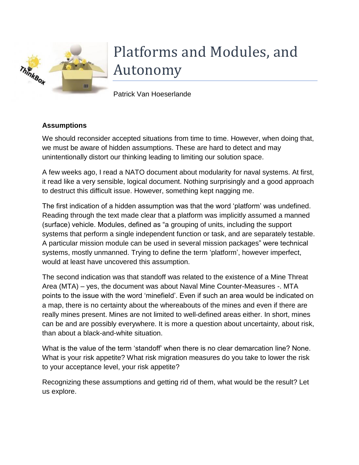

# Platforms and Modules, and Autonomy

Patrick Van Hoeserlande

# **Assumptions**

We should reconsider accepted situations from time to time. However, when doing that, we must be aware of hidden assumptions. These are hard to detect and may unintentionally distort our thinking leading to limiting our solution space.

A few weeks ago, I read a NATO document about modularity for naval systems. At first, it read like a very sensible, logical document. Nothing surprisingly and a good approach to destruct this difficult issue. However, something kept nagging me.

The first indication of a hidden assumption was that the word 'platform' was undefined. Reading through the text made clear that a platform was implicitly assumed a manned (surface) vehicle. Modules, defined as "a grouping of units, including the support systems that perform a single independent function or task, and are separately testable. A particular mission module can be used in several mission packages" were technical systems, mostly unmanned. Trying to define the term 'platform', however imperfect, would at least have uncovered this assumption.

The second indication was that standoff was related to the existence of a Mine Threat Area (MTA) – yes, the document was about Naval Mine Counter-Measures -. MTA points to the issue with the word 'minefield'. Even if such an area would be indicated on a map, there is no certainty about the whereabouts of the mines and even if there are really mines present. Mines are not limited to well-defined areas either. In short, mines can be and are possibly everywhere. It is more a question about uncertainty, about risk, than about a black-and-white situation.

What is the value of the term 'standoff' when there is no clear demarcation line? None. What is your risk appetite? What risk migration measures do you take to lower the risk to your acceptance level, your risk appetite?

Recognizing these assumptions and getting rid of them, what would be the result? Let us explore.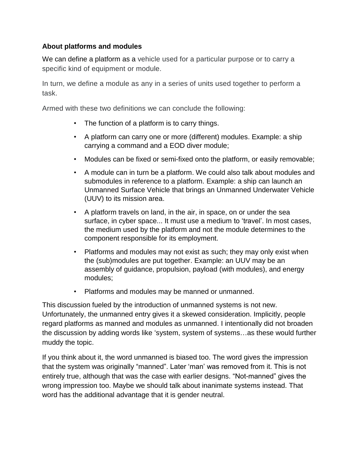## **About platforms and modules**

We can define a platform as a vehicle used for a particular purpose or to carry a specific kind of equipment or module.

In turn, we define a module as any in a series of units used together to perform a task.

Armed with these two definitions we can conclude the following:

- The function of a platform is to carry things.
- A platform can carry one or more (different) modules. Example: a ship carrying a command and a EOD diver module;
- Modules can be fixed or semi-fixed onto the platform, or easily removable;
- A module can in turn be a platform. We could also talk about modules and submodules in reference to a platform. Example: a ship can launch an Unmanned Surface Vehicle that brings an Unmanned Underwater Vehicle (UUV) to its mission area.
- A platform travels on land, in the air, in space, on or under the sea surface, in cyber space... It must use a medium to 'travel'. In most cases, the medium used by the platform and not the module determines to the component responsible for its employment.
- Platforms and modules may not exist as such; they may only exist when the (sub)modules are put together. Example: an UUV may be an assembly of guidance, propulsion, payload (with modules), and energy modules;
- Platforms and modules may be manned or unmanned.

This discussion fueled by the introduction of unmanned systems is not new. Unfortunately, the unmanned entry gives it a skewed consideration. Implicitly, people regard platforms as manned and modules as unmanned. I intentionally did not broaden the discussion by adding words like 'system, system of systems…as these would further muddy the topic.

If you think about it, the word unmanned is biased too. The word gives the impression that the system was originally "manned". Later 'man' was removed from it. This is not entirely true, although that was the case with earlier designs. "Not-manned" gives the wrong impression too. Maybe we should talk about inanimate systems instead. That word has the additional advantage that it is gender neutral.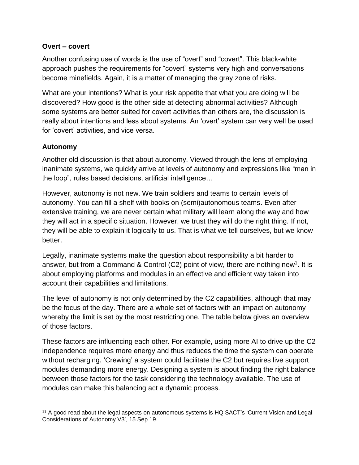#### **Overt – covert**

Another confusing use of words is the use of "overt" and "covert". This black-white approach pushes the requirements for "covert" systems very high and conversations become minefields. Again, it is a matter of managing the gray zone of risks.

What are your intentions? What is your risk appetite that what you are doing will be discovered? How good is the other side at detecting abnormal activities? Although some systems are better suited for covert activities than others are, the discussion is really about intentions and less about systems. An 'overt' system can very well be used for 'covert' activities, and vice versa.

### **Autonomy**

 $\overline{a}$ 

Another old discussion is that about autonomy. Viewed through the lens of employing inanimate systems, we quickly arrive at levels of autonomy and expressions like "man in the loop", rules based decisions, artificial intelligence…

However, autonomy is not new. We train soldiers and teams to certain levels of autonomy. You can fill a shelf with books on (semi)autonomous teams. Even after extensive training, we are never certain what military will learn along the way and how they will act in a specific situation. However, we trust they will do the right thing. If not, they will be able to explain it logically to us. That is what we tell ourselves, but we know better.

Legally, inanimate systems make the question about responsibility a bit harder to answer, but from a Command & Control (C2) point of view, there are nothing new<sup>1</sup>. It is about employing platforms and modules in an effective and efficient way taken into account their capabilities and limitations.

The level of autonomy is not only determined by the C2 capabilities, although that may be the focus of the day. There are a whole set of factors with an impact on autonomy whereby the limit is set by the most restricting one. The table below gives an overview of those factors.

These factors are influencing each other. For example, using more AI to drive up the C2 independence requires more energy and thus reduces the time the system can operate without recharging. 'Crewing' a system could facilitate the C2 but requires live support modules demanding more energy. Designing a system is about finding the right balance between those factors for the task considering the technology available. The use of modules can make this balancing act a dynamic process.

<sup>11</sup> A good read about the legal aspects on autonomous systems is HQ SACT's 'Current Vision and Legal Considerations of Autonomy V3', 15 Sep 19.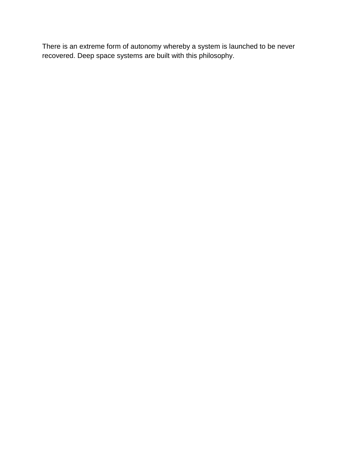There is an extreme form of autonomy whereby a system is launched to be never recovered. Deep space systems are built with this philosophy.